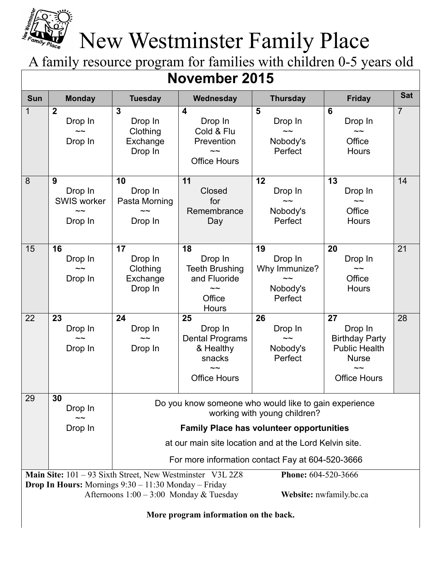

## New Westminster Family Place

A family resource program for families with children 0-5 years old

| <b>November 2015</b>                                                                                                                                                                                                                                                                                                          |                                                                        |                                                                                                                                                                                                    |                                                                                                |                                                       |                                                                                                       |                |
|-------------------------------------------------------------------------------------------------------------------------------------------------------------------------------------------------------------------------------------------------------------------------------------------------------------------------------|------------------------------------------------------------------------|----------------------------------------------------------------------------------------------------------------------------------------------------------------------------------------------------|------------------------------------------------------------------------------------------------|-------------------------------------------------------|-------------------------------------------------------------------------------------------------------|----------------|
| <b>Sun</b>                                                                                                                                                                                                                                                                                                                    | <b>Monday</b>                                                          | <b>Tuesday</b>                                                                                                                                                                                     | Wednesday                                                                                      | <b>Thursday</b>                                       | <b>Friday</b>                                                                                         | <b>Sat</b>     |
| $\mathbf 1$                                                                                                                                                                                                                                                                                                                   | $\boldsymbol{2}$<br>Drop In<br>$\sim\sim$<br>Drop In                   | $\overline{\mathbf{3}}$<br>Drop In<br>Clothing<br>Exchange<br>Drop In                                                                                                                              | $\overline{\mathbf{4}}$<br>Drop In<br>Cold & Flu<br>Prevention<br><b>Office Hours</b>          | 5<br>Drop In<br>$\sim\sim$<br>Nobody's<br>Perfect     | $6\phantom{1}6$<br>Drop In<br>$\sim\sim$<br>Office<br><b>Hours</b>                                    | $\overline{7}$ |
| 8                                                                                                                                                                                                                                                                                                                             | 9<br>Drop In<br><b>SWIS worker</b><br>$\tilde{\phantom{a}}$<br>Drop In | 10<br>Drop In<br>Pasta Morning<br>Drop In                                                                                                                                                          | 11<br>Closed<br>for<br>Remembrance<br>Day                                                      | 12<br>Drop In<br>$\sim\sim$<br>Nobody's<br>Perfect    | 13<br>Drop In<br>$\sim\sim$<br>Office<br><b>Hours</b>                                                 | 14             |
| 15                                                                                                                                                                                                                                                                                                                            | 16<br>Drop In<br>Drop In                                               | 17<br>Drop In<br>Clothing<br>Exchange<br>Drop In                                                                                                                                                   | 18<br>Drop In<br><b>Teeth Brushing</b><br>and Fluoride<br>$\sim\sim$<br>Office<br><b>Hours</b> | 19<br>Drop In<br>Why Immunize?<br>Nobody's<br>Perfect | 20<br>Drop In<br>$\sim\sim$<br>Office<br><b>Hours</b>                                                 | 21             |
| 22                                                                                                                                                                                                                                                                                                                            | 23<br>Drop In<br>$\sim\sim$<br>Drop In                                 | 24<br>Drop In<br>Drop In                                                                                                                                                                           | 25<br>Drop In<br><b>Dental Programs</b><br>& Healthy<br>snacks<br><b>Office Hours</b>          | 26<br>Drop In<br>Nobody's<br>Perfect                  | 27<br>Drop In<br><b>Birthday Party</b><br><b>Public Health</b><br><b>Nurse</b><br><b>Office Hours</b> | 28             |
| 29                                                                                                                                                                                                                                                                                                                            | 30<br>Drop In<br>Drop In                                               | Do you know someone who would like to gain experience<br>working with young children?<br><b>Family Place has volunteer opportunities</b><br>at our main site location and at the Lord Kelvin site. |                                                                                                |                                                       |                                                                                                       |                |
| For more information contact Fay at 604-520-3666<br>Main Site: 101 – 93 Sixth Street, New Westminster V3L 2Z8<br><b>Phone: 604-520-3666</b><br><b>Drop In Hours:</b> Mornings $9:30 - 11:30$ Monday – Friday<br>Afternoons $1:00 - 3:00$ Monday & Tuesday<br>Website: nwfamily.bc.ca<br>More program information on the back. |                                                                        |                                                                                                                                                                                                    |                                                                                                |                                                       |                                                                                                       |                |